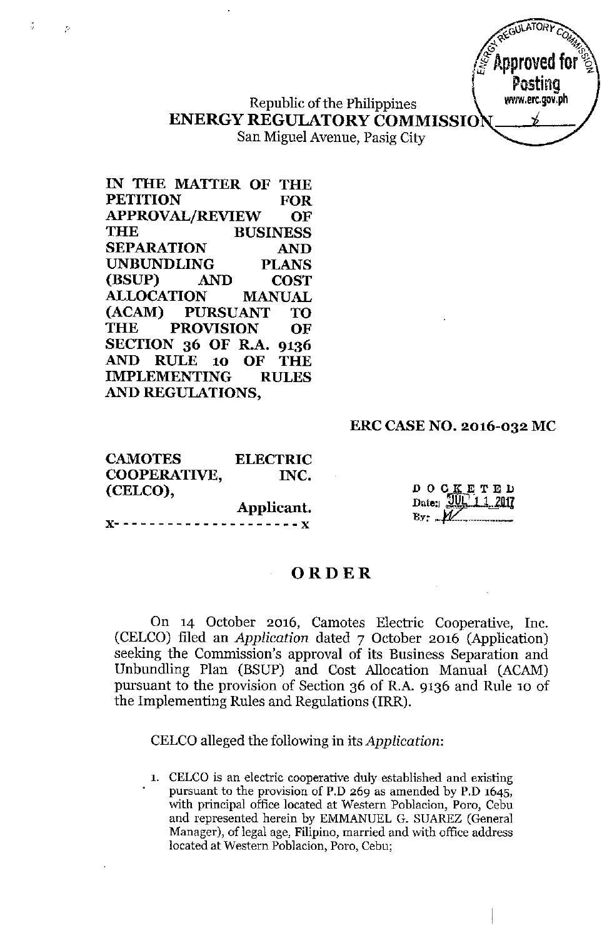Republic of the Philippines **ENERGY REGULATORY COMMISSIO**

San Miguel Avenue, Pasig City

**IN THE MATTER OF THE PETITION FOR APPROVAL/REVIEW OF THE BUSINESS SEPARATION AND UNBUNDLING PLANS (BSUP) AND COST ALLOCATION MANUAL (ACAM) PURSUANT TO THE PROVISION OF SECTION 36 OF R.A. 9136 AND RULE 10 OF THE IMPLEMENTING RULES AND REGULATIONS,**

. ,

þ,

# **ERC CASE NO. 2016-032 MC**

**XAEGULATORY** COM  $\stackrel{\sim}{\circ}^{\sim}$  and  $\stackrel{\sim}{\circ}^{\sim}$ *1***Approved for <sup>~</sup>**

I **Posting** www.erc.gov.ph *j*

**CAMOTES COOPERATIVE, (CELCO), ELECTRIC INC.**

**Applicant. x---------------------x**

D O G K E T E D<br>Date:  $201$ <br>Date: 2017  $B_y$ :  $M$ 

# **ORDER**

On 14 October 2016, Camotes Electric Cooperative, Inc. (CELCO) filed an *Application* dated 7 October 2016 (Application) seeking the Commission's approval of its Business Separation and Unbundling Plan (BSUP) and Cost Allocation Manual (ACAM) pursuant to the provision of Section 36 of R.A. 9136 and Rule 10 of the Implementing Rules and Regulations (IRR).

CELCOalleged the following in its *Application:*

**1. CELCO is an electric cooperative duly established and existing pursuant to the provision of P.D 269 as amended by P.D 1645, with principal office located at Western Poblacion, Poro, Cebu** and represented herein by EMMANUEL G. SUAREZ (General **Manager), oflegal age, Filipino, married and with office address located at Western Poblacion, Poro, Cebu;**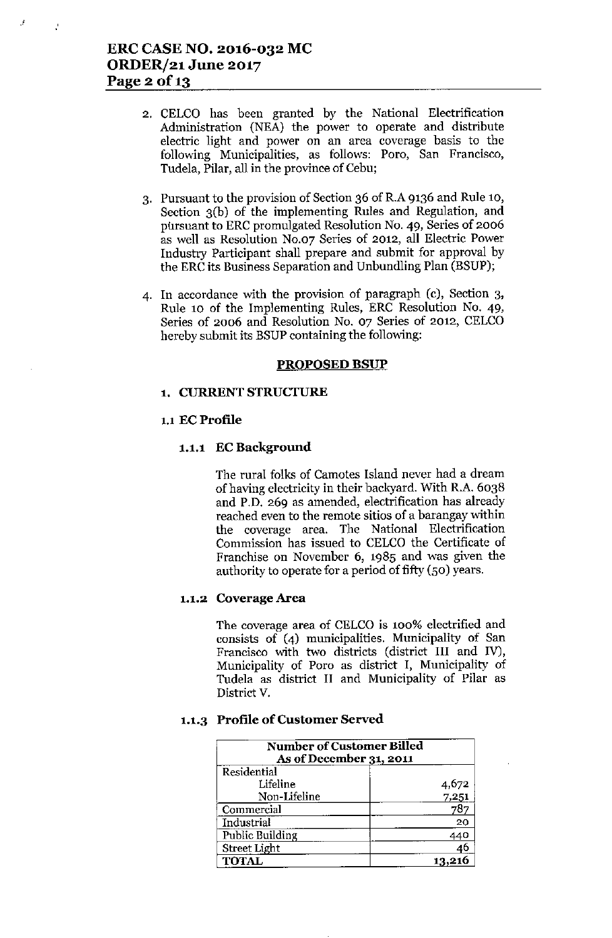,

 $\mathcal{L}$ 

- 2. CELCO has been granted by the National Electrification Administration (NEA) the power to operate and distribute electric light and power on an area coverage basis to the following Municipalities, as follows: Poro, San Francisco, Tudela, Pilar, all in the province of Cebu;
- 3. Pursuant to the provision of Section 36 of R.A 9136 and Rule 10, Section 3(b) of the implementing Rules and Regulation, and pursuant to ERC promulgated Resolution No. 49, Series of 2006 as well as Resolution No.o? Series of 2012, all Electric Power Industry Participant shall prepare and submit for approval by the ERC its Business Separation and Unbundling Plan (BSUP);
- 4. In accordance with the provision of paragraph (c), Section 3, Rule 10 of the Implementing Rules, ERC Resolution No. 49, Series of 2006 and Resolution No. 07 Series of 2012, CELCO hereby submit its BSUP containing the following:

#### PROPOSED BSUP

### 1. CURRENT STRUCTURE

#### 1.1 EC Profile

#### 1.1.1 EC Background

The rural folks of Camotes Island never had a dream of having electricity in their backyard. With R.A. 6038 and P.D. 269 as amended, electrification has already reached even to the remote sitios of a harangay within the coverage area. The National Electrification Commission has issued to CELCO the Certificate of Franchise on November 6, 1985 and was given the authority to operate for a period of fifty (50) years.

## 1.1.2 Coverage Area

The coverage area of CELCO is 100% electrified and consists of (4) municipalities. Municipality of San Francisco with two districts (district III and IV), Municipality of Poro as district I, Municipality of Tudela as district II and Municipality of Pilar as District v.

#### 1.1.3 Profile of Customer Served

| <b>Number of Customer Billed</b><br>As of December 31, 2011 |       |  |
|-------------------------------------------------------------|-------|--|
| Residential                                                 |       |  |
| Lifeline                                                    | 4,672 |  |
| Non-Lifeline                                                | 7,251 |  |
| Commercial                                                  | 78    |  |
| Industrial                                                  | 20    |  |
| Public Building                                             | 440   |  |
| Street Light                                                | 46    |  |
| <b>TOTAL</b>                                                |       |  |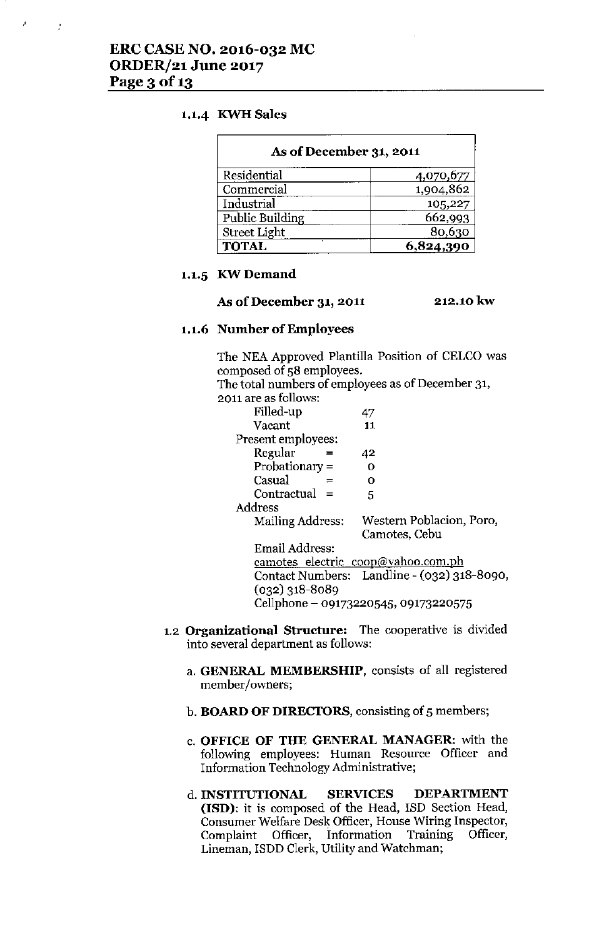## 1.1.4 KWH Sales

| As of December 31, 2011 |           |
|-------------------------|-----------|
| Residential             | 4,070,677 |
| Commercial              | 1,904,862 |
| Industrial              | 105,227   |
| <b>Public Building</b>  | 662,993   |
| <b>Street Light</b>     | 80,630    |
| <b>TOTAL</b>            | 824.390   |

#### 1.1.5 KW Demand

#### As **of December 31, 2011** 212.10 kw

# 1.1.6 Number of Employees

The NEA Approved Plantilla Position of CELCO was composed of 58 employees.

The total numbers of employees as of December 31,

| ---- ------- -- - -     | . <i>.</i> |
|-------------------------|------------|
| 2011 are as follows:    |            |
| Filled-up               | 47         |
| Vacant                  | 11         |
| Present employees:      |            |
| $D_{\alpha\alpha\beta}$ | лn         |

| Regular          | 42                                          |
|------------------|---------------------------------------------|
| Probationary =   | Ω                                           |
| Casual           | Ω                                           |
| $Contractual =$  | 5                                           |
| Address          |                                             |
| Mailing Address: | Western Poblacion, Poro,                    |
|                  | Camotes, Cebu                               |
| Email Address:   |                                             |
|                  | <u>camotes electric coop@vahoo.com.ph</u>   |
|                  | Contact Numbers: Landline - (032) 318-8090, |
| $(032)$ 318-8089 |                                             |
|                  |                                             |

Cellphone - 09173220545, 09173220575

- 1.2 **Organizational Structure:** The cooperative is divided into several department as follows:
	- a. GENERAL MEMBERSHIP, consists of all registered member/owners;
	- b. BOARD OF DIRECTORS, consisting of 5 members;
	- c. OFFICE OF THE GENERAL MANAGER: with the following employees: Human Resource Officer and Information Technology Administrative;
	- d.INSTITUfIONAL SERVICES DEPARTMENT (ISO): it is composed of the Head, ISD Section Head, Consumer Welfare Desk Officer, House Wiring Inspector, Complaint Officer, Information Training Officer, Lineman, ISDD Clerk, Utility and Watchman;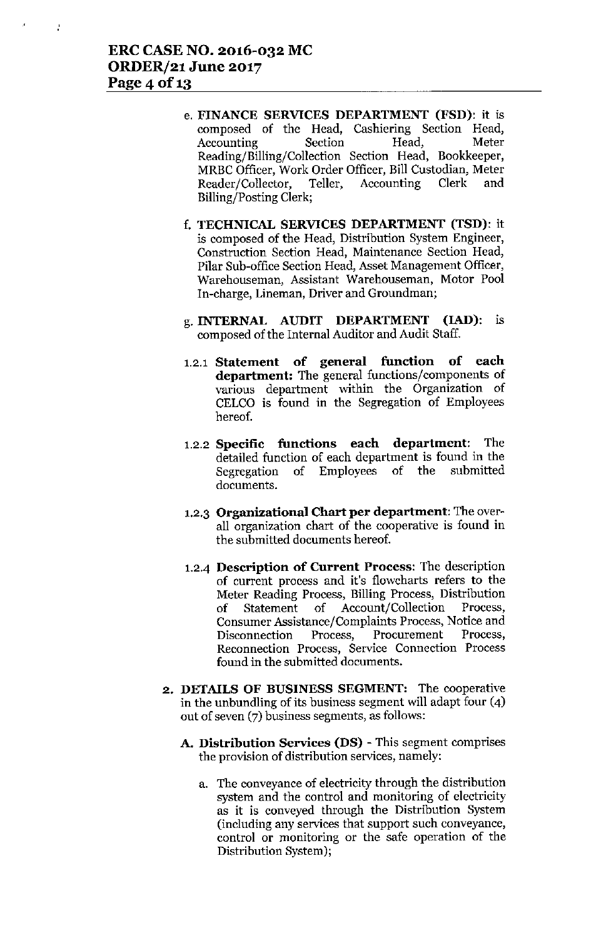- e. FINANCE SERVICES DEPARTMENT (FSD): it is composed of the Head, Cashiering Section Head, Accounting Section Head, Meter Reading/Billing/Collection Section Head, Bookkeeper, MRBC Officer, Work Order Officer, Bill Custodian, Meter Reader/Collector, Teller, Accounting Clerk and Billing/Posting Clerk;
- f. TECHNICAL SERVICES DEPARTMENT (TSD): it is composed of the Head, Distribution System Engineer, Construction Section Head, Maintenance Section Head, Pilar Sub-office Section Head, Asset Management Officer, Warehouseman, Assistant Warehouseman, Motor Pool In-charge, Lineman, Driver and Groundman;
- g. INTERNAL AUDIT DEPARTMENT (lAD): is composed of the Internal Auditor and Audit Staff.
- 1.2.1 Statement of general function of each department: The general functions/components of various department within the Organization of CELCO is found in the Segregation of Employees hereof.
- 1.2.2 Specific functions each department: The detailed function of each department is found in the Segregation of Employees of the submitted documents.
- 1.2.3 Organizational Chart per department: The overall organization chart of the cooperative is found in the submitted documents hereof.
- 1.2-4 Description of Current Process: The description of current process and it's flowcharts refers to the Meter Reading Process, Billing Process, Distribution of Statement of Account/Collection Process, Consumer Assistance/Complaints Process, Notice and Disconnection Process, Procurement Process, Reconnection Process, Service Connection Process found in the submitted documents.
- 2. DETAILS OF BUSINESS SEGMENT: The cooperative in the unbundling of its business segment will adapt four (4) out of seven (7) business segments, as follows:
	- A. Distribution Services (DS) This segment comprises the provision of distribution services, namely:
		- a. The conveyance of electricity through the distribution system and the control and monitoring of electricity as it is conveyed through the Distribution System (including any services that support such conveyance, control or monitoring or the safe operation of the Distribution System);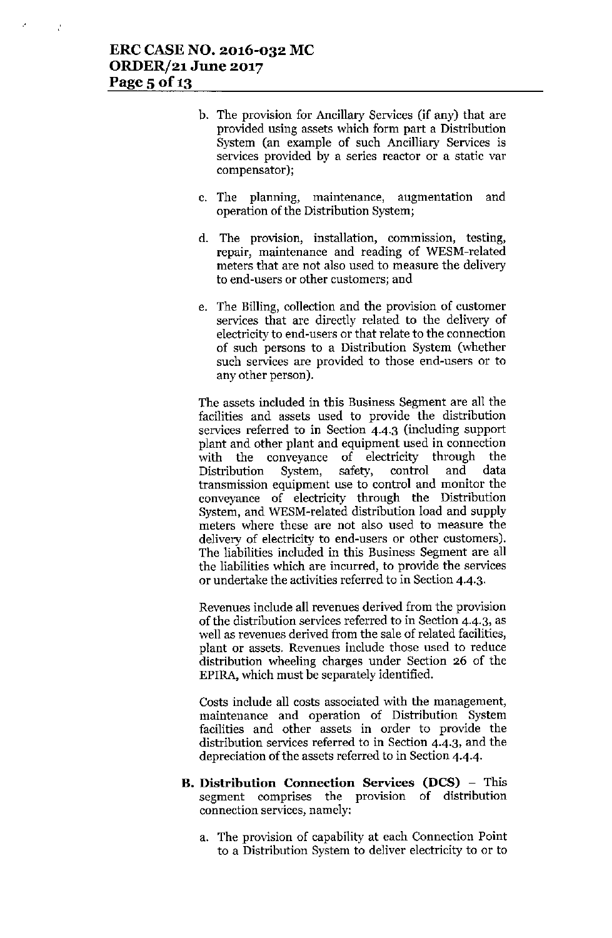J,

- b. The provision for Ancillary Services (if any) that are provided using assets which form part a Distribution System (an example of such Ancilliary Services is services provided by a series reactor or a static var compensator);
- c. The planning, maintenance, augmentation and operation of the Distribution System;
- d. The provision, installation, commission, testing, repair, maintenance and reading of WESM-related meters that are not also used to measure the delivery to end-users or other customers; and
- e. The Billing, collection and the provision of customer services that are directly related to the delivery of electricity to end-users or that relate to the connection of such persons to a Distribution System (whether such services are provided to those end-users or to any other person).

The assets included in this Business Segment are all the facilities and assets used to provide the distribution services referred to in Section 4-4.3 (including support plant and other plant and equipment used in connection with the conveyance of electricity through the Distribution System, safety, control and data transmission equipment use to control and monitor the conveyance of electricity through the Distribution System, and WESM-related distribution load and supply meters where these are not also used to measure the delivery of electricity to end-users or other customers). The liabilities included in this Business Segment are all the liabilities which are incurred, to provide the services or undertake the activities referred to in Section 4-4.3.

Revenues include all revenues derived from the provision of the distribution services referred to in Section 4.4.3, as well as revenues derived from the sale of related facilities, plant or assets. Revenues include those used to reduce distribution wheeling charges under Section 26 of the EPlRA, which must be separately identified.

Costs include all costs associated with the management, maintenance and operation of Distribution System facilities and other assets in order to provide the distribution services referred to in Section 4.4.3, and the depreciation of the assets referred to in Section 4.4.4.

- **B. Distribution Connection** Services **(DCS) -** This segment comprises the provision of distribution connection services, namely:
	- a. The provision of capability at each Connection Point to a Distribution System to deliver electricity to or to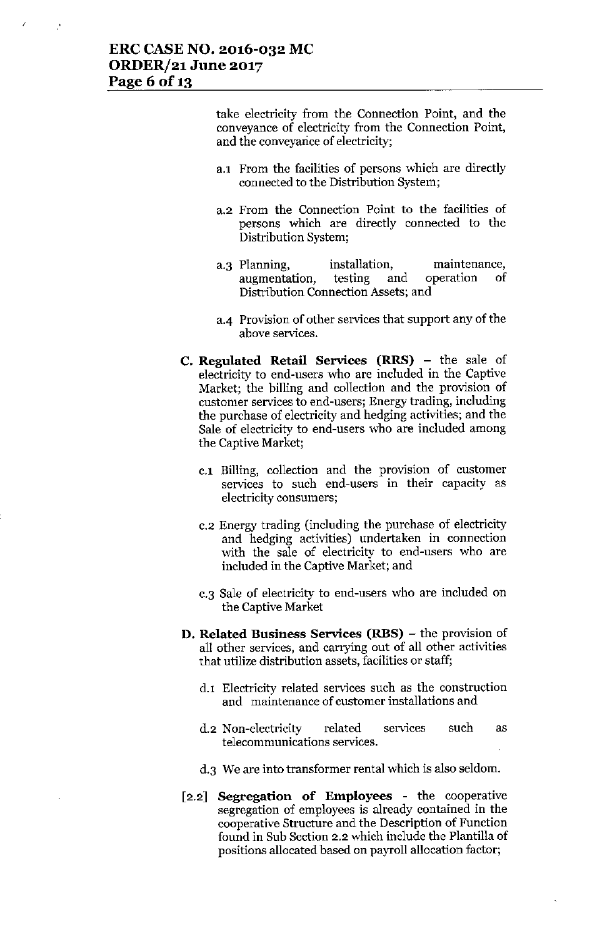Ž

take electricity from the Connection Point, and the conveyance of electricity from the Connection Point, and the conveyance of electricity;

- a.l From the facilities of persons which are directly connected to the Distribution System;
- a.2 From the Connection Point to the facilities of persons which are directly connected to the Distribution System;
- a.3 Planning, installation, maintenance,<br>augmentation, testing and operation of augmentation, testing and operation of Distribution Connection *Assets;* and
- 3-4 Provision of other services that support any of the above services.
- c. Regulated Retail Services (RRS) the sale of electricity to end-users who are included in the Captive Market; the billing and collection and the provision of customer services to end-users; Energy trading, including the purchase of electricity and hedging activities; and the Sale of electricity to end-users who are included among the Captive Market;
	- c.1 Billing, collection and the provision of customer services to such end-users **in** their capacity as electricity consumers;
	- c.2 Energy trading (including the purchase of electricity and hedging activities) undertaken in connection with the sale of electricity to end-users who are included in the Captive Market; and
	- c.3 Sale of electricity to end-users who are included on the Captive Market
- D. Related Business Services (RBS) the provision of all other services, and carrying out of all other activities that utilize distribution assets, facilities or staff;
	- d.l Electricity related services such as the construction and maintenance of customer installations and
	- d.2 Non-electricity related services telecommunications services. such as
	- d.3 We are into transformer rental which is also seldom.
- [2.2] Segregation of Employees the cooperative segregation of employees is already contained in the cooperative Structure and the Description of Function found in Sub Section 2.2 which include the Plantilla of positions allocated based on payroll allocation factor;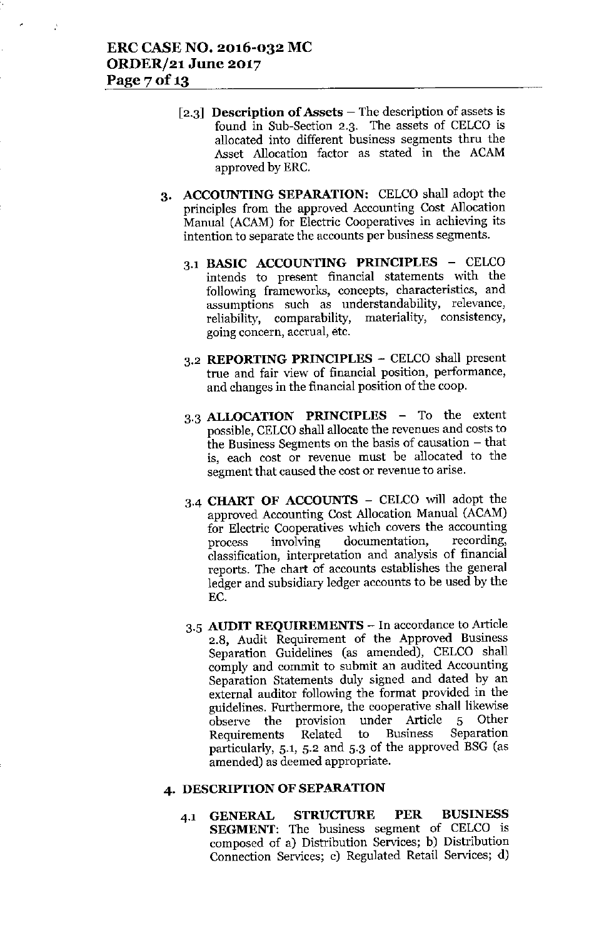- [2.3] **Description of Assets** The description of assets is found in Sub-Section 2.3. The assets of CELCO is allocated into different business segments thru the Asset Allocation factor as stated in the ACAM approved by ERC.
- 3. ACCOUNTING SEPARATION: CELCO shall adopt the principles from the approved Accounting Cost Allocation Manual (ACAM) for Electric Cooperatives in achieving its intention to separate the accounts per business segments.
	- 3.1 BASIC ACCOUNTING PRINCIPLES CELCO intends to present financial statements with the following frameworks, concepts, characteristics, and assumptions such as understandability, relevance, reliability, comparability, materiality, consistency, going concern, accrual, etc.
	- 3.2 REPORTING PRINCIPLES CELCO shall present true and fair view of financial position, performance, and changes in the financial position of the coop.
	- 3.3 ALLOCATION PRINCIPLES To the extent possible, CELCO shall allocate the revenues and costs to the Business Segments on the basis of causation - that is, each cost or revenue must be allocated to the segment that caused the cost or revenue to arise.
	- 3.4 CHART OF ACCOUNTS CELCO will adopt the approved Accounting Cost Allocation Manual (ACAM) for Electric Cooperatives which covers the accounting process involving documentation, recording, classification, interpretation and analysis of financial reports. The chart of accounts establishes the general ledger and subsidiary ledger accounts to be used by the EC.
	- 3.5 AUDIT REQUIREMENTS In accordance to Article 2.8, Audit Requirement of the Approved Business Separation Guidelines (as amended), CELCO shall comply and commit to submit an audited Accounting Separation Statements duly signed and dated by an external auditor following the format provided in the guidelines. Furthermore, the cooperative shall likewise observe the provision under Article 5 Other<br>Requirements Related to Business Separation Requirements Related to Business particularly, 5.1, 5.2 and 5.3 of the approved BSG (as amended) as deemed appropriate.

## 4. DESCRIPTION OF SEPARATION

4.1 GENERAL STRUCTURE PER BUSINESS SEGMENT: The business segment of CELCO is composed of a) Distribution Services; b) Distribution Connection Services; c) Regulated Retail Services; d)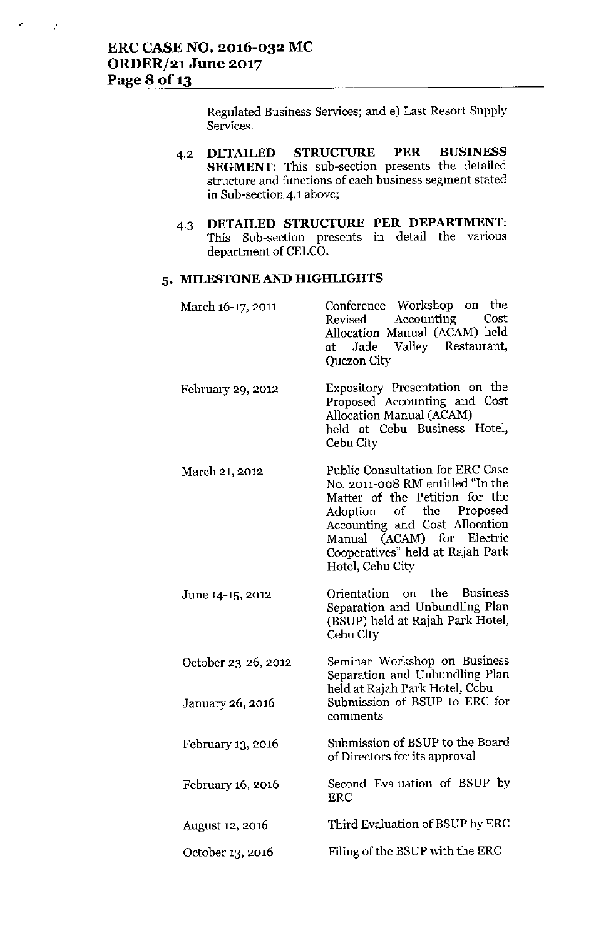$\mathcal{A}$ 

 $\vec{r}$ 

Regulated Business Services; and e) Last Resort Supply **Services.**

- 4.2 **DETAILED STRUcruRE PER BUSINESS SEGMENT:** This sub-section presents the detailed **structure and functions of each business segment stated in Sub-section 4.1 above;**
- 4.3 **DETAILED STRUCTURE PER DEPARTMENT: This Sub-section presents in detail the various** department of CELCO.

## **5. MILESTONE AND HIGHLIGHTS**

| March 16-17, 2011                       | Conference Workshop on the<br>Accounting<br>Cost<br>Revised<br>Allocation Manual (ACAM) held<br>Jade Valley Restaurant,<br>at<br>Quezon City                                                                                                                      |
|-----------------------------------------|-------------------------------------------------------------------------------------------------------------------------------------------------------------------------------------------------------------------------------------------------------------------|
| February 29, 2012                       | Expository Presentation on the<br>Proposed Accounting and Cost<br>Allocation Manual (ACAM)<br>held at Cebu Business Hotel,<br>Cebu City                                                                                                                           |
| March 21, 2012                          | <b>Public Consultation for ERC Case</b><br>No. 2011-008 RM entitled "In the<br>Matter of the Petition for the<br>Adoption of the Proposed<br>Accounting and Cost Allocation<br>Manual (ACAM) for Electric<br>Cooperatives" held at Rajah Park<br>Hotel, Cebu City |
| June 14-15, 2012                        | Orientation on the Business<br>Separation and Unbundling Plan<br>(BSUP) held at Rajah Park Hotel,<br>Cebu City                                                                                                                                                    |
| October 23-26, 2012<br>January 26, 2016 | Seminar Workshop on Business<br>Separation and Unbundling Plan<br>held at Rajah Park Hotel, Cebu<br>Submission of BSUP to ERC for<br>comments                                                                                                                     |
| February 13, 2016                       | Submission of BSUP to the Board<br>of Directors for its approval                                                                                                                                                                                                  |
| February 16, 2016                       | Second Evaluation of BSUP by<br>ERC                                                                                                                                                                                                                               |
| August 12, 2016                         | Third Evaluation of BSUP by ERC                                                                                                                                                                                                                                   |
| October 13, 2016                        | Filing of the BSUP with the ERC                                                                                                                                                                                                                                   |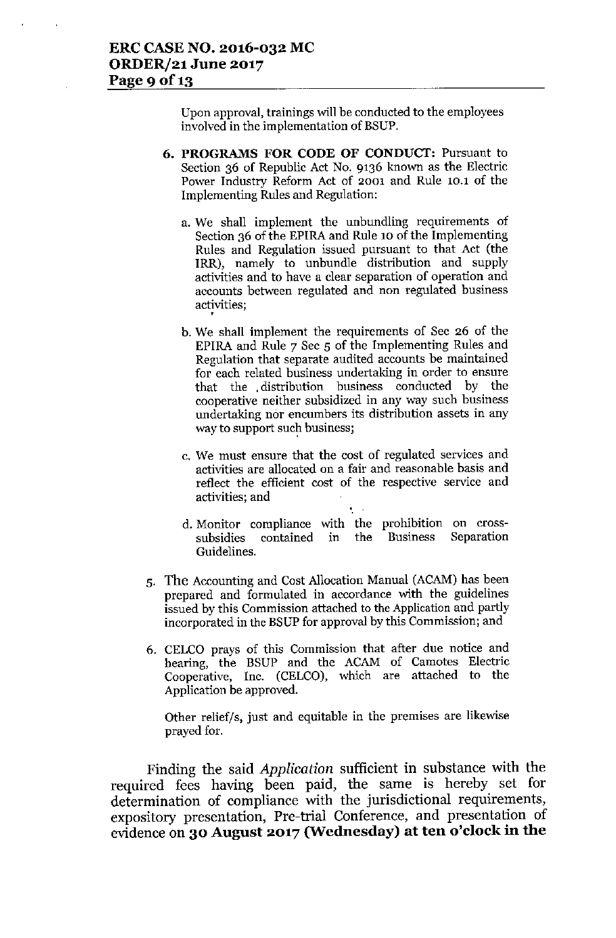Upon approval, trainings will be conducted to the employees involved in the implementation of BSUP.

- 6. PROGRAMS FOR CODE OF CONDUCT: Pursuant to Section 36 of Republic Act No. 9136 known as the Electric Power Industry Reform Act of 2001 and Rule 10.1 of the Implementing Rules and Regulation:
	- a. We shall implement the unbundling requirements of Section 36 of the EPIRA and Rule 10 of the Implementing Rules and Regulation issued pursuant to that Act (the IRR), namely to unbundle distribution and supply activities and to have a clear separation of operation and accounts between regulated and non regulated business activities; •
	- b. We shall implement the requirements of Sec 26 of the EPIRA and Rule 7 Sec 5 of the Implementing Rules and Regulation that separate audited accounts be maintained for each related business undertaking in order to ensure that the .distribution business conducted by the cooperative neither subsidized in any way such business undertaking nor encumbers its distribution assets in any way to support such business;
	- c. We must ensure that the cost of regulated services and activities are allocated on a fair and reasonable basis and reflect the efficient cost of the respective service and activities; and
	- d. Monitor compliance with the prohibition on crosssubsidies contained Guidelines. in the Business Separation
- 5. The Accounting and Cost Allocation Manual (ACAM) has been prepared and formulated in accordance with the guidelines issued by this Commission attached to the Applicationand partly incorporated in the BSUP for approval by this Commission; and
- 6. CELCO prays of this Commission that after due notice and hearing, the BSUP and the ACAM of Camotes Electric Cooperative, Inc. (CELCO), which are attached to the Application be approved.

Other relief/s, just and equitable in the premises are likewise prayed for.

Finding the said *Application* sufficient in substance with the required fees having been paid, the same is hereby set for determination of compliance with the jurisdictional requirements, expository presentation, Pre-trial Conference, and presentation of evidence on 30 August 2017 (Wednesday) at ten o'clock in the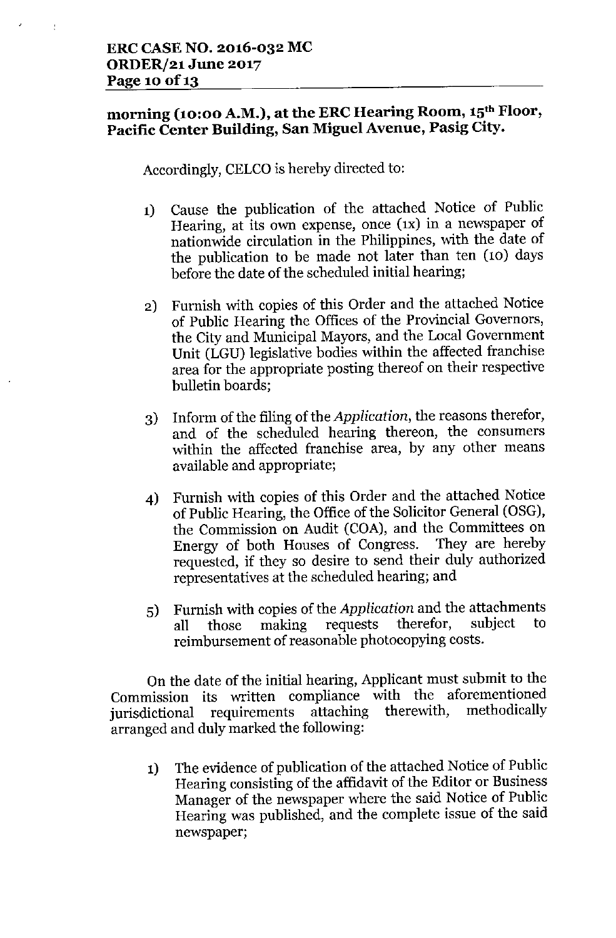# morning (10:00 A.M.), at the ERC Hearing Room, 15<sup>th</sup> Floor, Pacific Center Building, San Miguel Avenue, Pasig City.

Accordingly, CELCO is hereby directed to:

- 1) Cause the publication of the attached Notice of Public Hearing, at its own expense, once  $(x)$  in a newspaper of nationwide circulation in the Philippines, with the date of the publication to be made not later than ten (10) days before the date of the scheduled initial hearing;
- 2) Furnish with copies of this Order and the attached Notice of Public Hearing the Offices of the Provincial Governors, the City and Municipal Mayors, and the Local Government Unit (LGU) legislative bodies within the affected franchise area for the appropriate posting thereof on their respective bulletin boards;
- 3) Inform of the filing of the *Application,* the reasons therefor, and of the scheduled hearing thereon, the consumers within the affected franchise area, by any other means available and appropriate;
- 4) Furnish with copies of this Order and the attached Notice of Public Hearing, the Office of the Solicitor General (OSG), the Commission on Audit (COA), and the Committees on Energy of both Houses of Congress. They are hereby requested, if they so desire to send their duly authorized representatives at the scheduled hearing; and
- 5) Furnish with copies of the *Application* and the attachments all those making requests therefor, subject to reimbursement of reasonable photocopying costs.

On the date of the initial hearing, Applicant must submit to the Commission its written compliance with the aforementioned<br>invisibility requirements attaching therewith, methodically jurisdictional requirements attaching therewith, arranged and duly marked the following:

1) The evidence of publication of the attached Notice of Public Hearing consisting of the affidavit of the Editor or Business Manager of the newspaper where the said Notice of Public Hearing was published, and the complete issue of the said newspaper;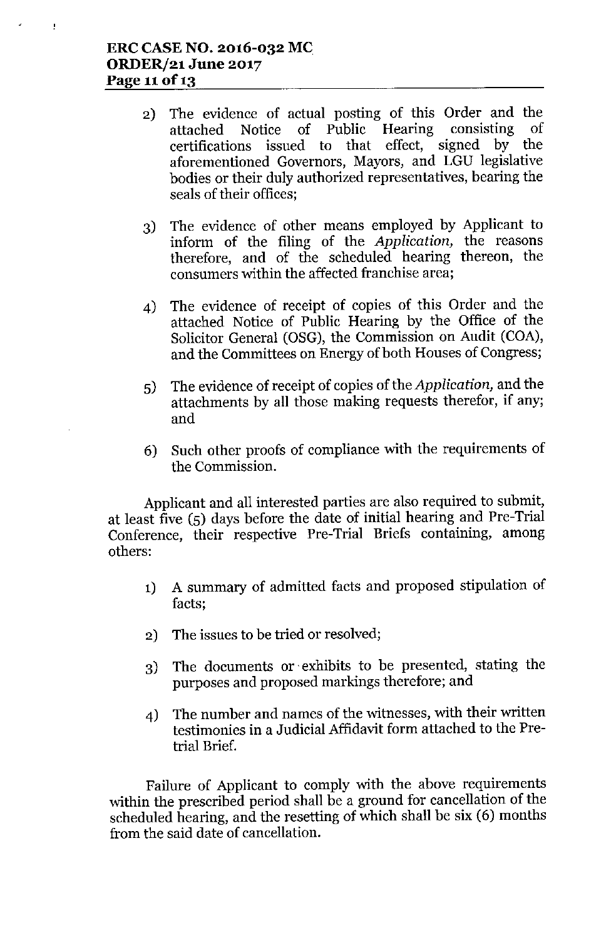t

- 2) The evidence of actual posting of this Order and the attached Notice of Public Hearing consisting of certifications issued to that effect, signed by the aforementioned Governors, Mayors, and LGU legislative bodies or their duly authorized representatives, bearing the seals of their offices;
- 3) The evidence of other means employed by Applicant to inform of the filing of the *Application,* the reasons therefore, and *of* the scheduled hearing thereon, the consumers within the affected franchise area;
- 4) The evidence of receipt of copies of this Order and the attached Notice of Public Hearing by the Office of the Solicitor General (OSG), the Commission on Audit (COA), and the Committees on Energy of both Houses of Congress;
- 5) The evidence of receipt of copies of the *Application,* and the attachments by all those making requests therefor, if any; and
- 6) Such other proofs of compliance with the requirements of the Commission.

Applicant and all interested parties are also required to submit, at least five (5) days before the date of initial hearing and Pre-Trial Conference, their respective Pre-Trial Briefs containing, among others:

- 1) A summary of admitted facts and proposed stipulation of facts;
- 2) The issues to be tried or resolved;
- 3) The documents or exhibits to be presented, stating the purposes and proposed markings therefore; and
- 4) The number and names of the witnesses, with their written testimonies in a Judicial Affidavit form attached to the Pretrial Brief.

Failure of Applicant to comply with the above requirements within the prescribed period shall be a ground for cancellation of the scheduled hearing, and the resetting of which shall be six (6) months from the said date of cancellation.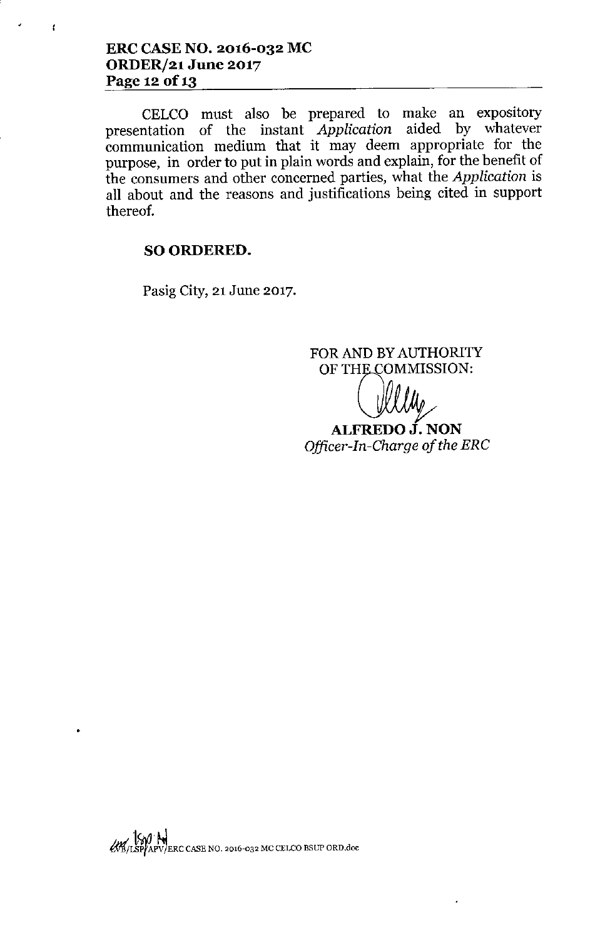ł

CELCO must also be prepared to make an expository presentation of the instant *Application* aided by whatever communication medium that it may deem appropriate for the purpose, in order to put in plain words and explain, for the benefit of the consumers and other concerned parties, what the *Application* is all about and the reasons and justifications being cited in support thereof.

# SO ORDERED.

Pasig City, 21 June 2017.

FOR AND BY AUTHORITY OF THE COMMISSION:

ALFREDO J. NON *Officer-In-Charge of the ERC*

 $1$ Sa $a^+$ Aa $^+$ M/LS'tf~')ERC CASE NO. 2016-032 Me CELCOBSUP ORo.doc

•